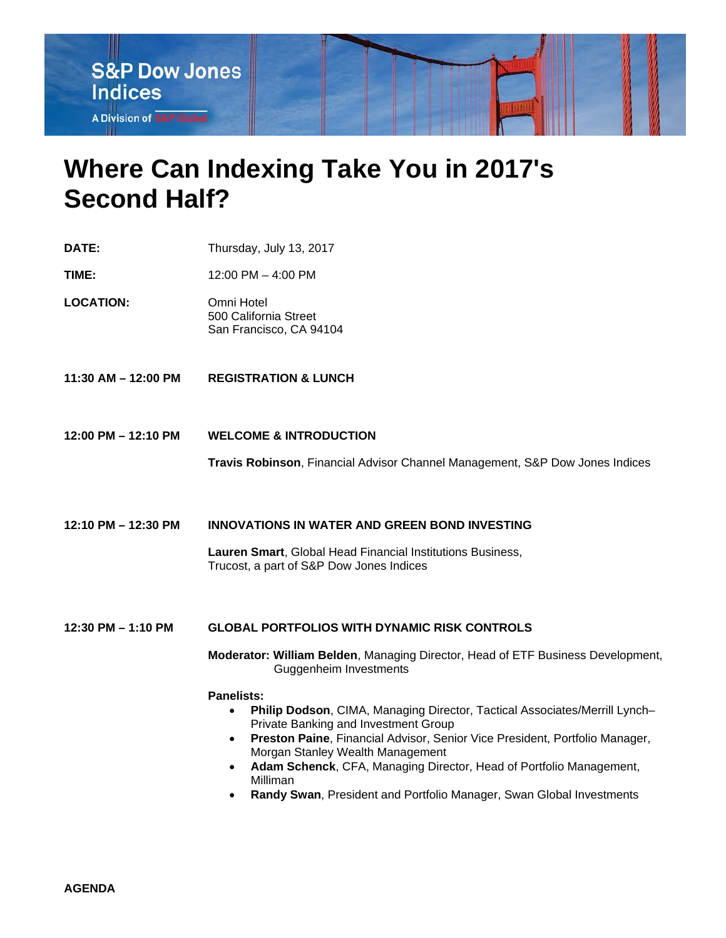

## **Where Can Indexing Take You in 2017's Second Half?**

- **DATE:** Thursday, July 13, 2017
- **TIME:** 12:00 PM – 4:00 PM
- **LOCATION:** Omni Hotel 500 California Street San Francisco, CA 94104
- **11:30 AM – 12:00 PM REGISTRATION & LUNCH**
- **12:00 PM – 12:10 PM WELCOME & INTRODUCTION**

**Travis Robinson**, Financial Advisor Channel Management, S&P Dow Jones Indices

**12:10 PM – 12:30 PM INNOVATIONS IN WATER AND GREEN BOND INVESTING**

**Lauren Smart**, Global Head Financial Institutions Business, Trucost, a part of S&P Dow Jones Indices

## **12:30 PM – 1:10 PM GLOBAL PORTFOLIOS WITH DYNAMIC RISK CONTROLS**

**Moderator: William Belden**, Managing Director, Head of ETF Business Development, Guggenheim Investments

## **Panelists:**

- **Philip Dodson**, CIMA, Managing Director, Tactical Associates/Merrill Lynch– Private Banking and Investment Group
- **Preston Paine**, Financial Advisor, Senior Vice President, Portfolio Manager, Morgan Stanley Wealth Management
- **Adam Schenck**, CFA, Managing Director, Head of Portfolio Management, Milliman
- **Randy Swan**, President and Portfolio Manager, Swan Global Investments